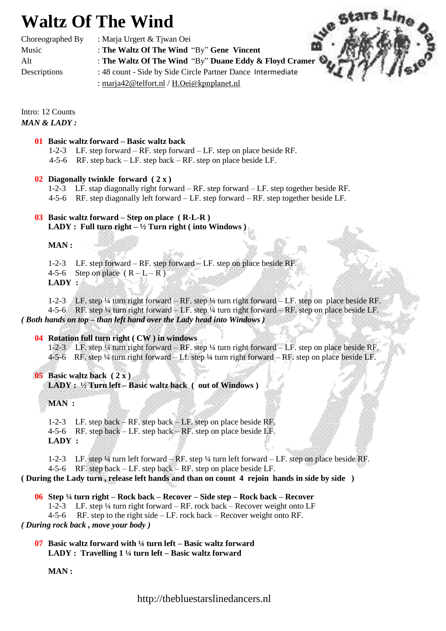# **Waltz Of The Wind**

Choreographed By : Marja Urgert & Tjwan Oei

Music : **The Waltz Of The Wind** "By" **Gene Vincent**

Alt : **The Waltz Of The Wind** "By" **Duane Eddy & Floyd Cramer**

Descriptions : 48 count - Side by Side Circle Partner DanceIntermediate

: [marja42@telfort.nl](mailto:marja42@casema.nl) / [H.Oei@kpnplanet.nl](mailto:H.Oei@kpnplanet.nl)



Intro: 12 Counts *MAN & LADY :*

#### **01 Basic waltz forward – Basic waltz back**

- 1-2-3 LF. step forward RF. step forward LF. step on place beside RF.
- 4-5-6 RF. step back LF. step back RF. step on place beside LF.

#### **02 Diagonally twinkle forward ( 2 x )**

- 1-2-3 LF. stap diagonally right forward RF. step forward LF. step together beside RF.
- 4-5-6 RF. step diagonally left forward  $-LF$ . step forward  $-RF$ . step together beside LF.

### **03 Basic waltz forward – Step on place ( R-L-R ) LADY : Full turn right – ½ Turn right ( into Windows )**

**MAN :**

- 1-2-3 LF. step forward RF. step forward LF. step on place beside RF.
- 4-5-6 Step on place  $(R L R)$

**LADY :**

1-2-3 LF. step ¼ turn right forward – RF. step ¼ turn right forward – LF. step on place beside RF. 4-5-6 RF. step ¼ turn right forward – LF. step ¼ turn right forward – RF. step on place beside LF. *( Both hands on top – than left hand over the Lady head into Windows )*

### **04 Rotation full turn right ( CW ) in windows**

1-2-3 LF. step ¼ turn right forward – RF. step ¼ turn right forward – LF. step on place beside RF. 4-5-6 RF. step ¼ turn right forward – Lf. step ¼ turn right forward – RF. step on place beside LF.

### **05 Basic waltz back ( 2 x )**

**LADY : ½ Turn left – Basic waltz back ( out of Windows )**

**MAN :**

1-2-3 LF. step back – RF. step back – LF. step on place beside RF. 4-5-6 RF. step back – LF. step back – RF. step on place beside LF. **LADY :**

1-2-3 LF. step ¼ turn left forward – RF. step ¼ turn left forward – LF. step on place beside RF.

4-5-6 RF. step back – LF. step back – RF. step on place beside LF.

**( During the Lady turn , release left hands and than on count 4 rejoin hands in side by side )**

## **06 Step ¼ turn right – Rock back – Recover – Side step – Rock back – Recover**

1-2-3 LF. step ¼ turn right forward – RF. rock back – Recover weight onto LF

4-5-6 RF. step to the right side – LF. rock back – Recover weight onto RF. *( During rock back , move your body )*

**07 Basic waltz forward with ¼ turn left – Basic waltz forward LADY : Travelling 1 ¼ turn left – Basic waltz forward** 

**MAN :**